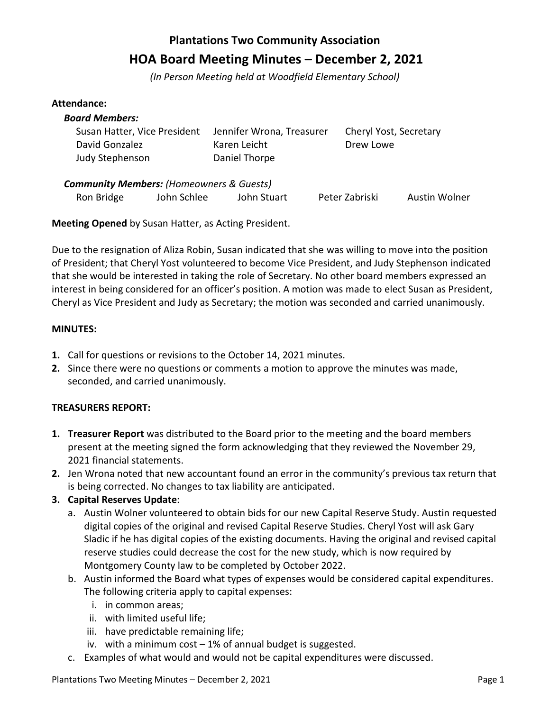# **Plantations Two Community Association HOA Board Meeting Minutes – December 2, 2021**

*(In Person Meeting held at Woodfield Elementary School)*

#### **Attendance:**

| <b>Board Members:</b>                               |                           |                        |
|-----------------------------------------------------|---------------------------|------------------------|
| Susan Hatter, Vice President                        | Jennifer Wrona, Treasurer | Cheryl Yost, Secretary |
| David Gonzalez                                      | Karen Leicht              | Drew Lowe              |
| Judy Stephenson                                     | Daniel Thorpe             |                        |
| <b>Community Members: (Homeowners &amp; Guests)</b> |                           |                        |

Ron Bridge John Schlee John Stuart Peter Zabriski Austin Wolner

**Meeting Opened** by Susan Hatter, as Acting President.

Due to the resignation of Aliza Robin, Susan indicated that she was willing to move into the position of President; that Cheryl Yost volunteered to become Vice President, and Judy Stephenson indicated that she would be interested in taking the role of Secretary. No other board members expressed an interest in being considered for an officer's position. A motion was made to elect Susan as President, Cheryl as Vice President and Judy as Secretary; the motion was seconded and carried unanimously.

#### **MINUTES:**

- **1.** Call for questions or revisions to the October 14, 2021 minutes.
- **2.** Since there were no questions or comments a motion to approve the minutes was made, seconded, and carried unanimously.

# **TREASURERS REPORT:**

- **1. Treasurer Report** was distributed to the Board prior to the meeting and the board members present at the meeting signed the form acknowledging that they reviewed the November 29, 2021 financial statements.
- **2.** Jen Wrona noted that new accountant found an error in the community's previous tax return that is being corrected. No changes to tax liability are anticipated.
- **3. Capital Reserves Update**:
	- a. Austin Wolner volunteered to obtain bids for our new Capital Reserve Study. Austin requested digital copies of the original and revised Capital Reserve Studies. Cheryl Yost will ask Gary Sladic if he has digital copies of the existing documents. Having the original and revised capital reserve studies could decrease the cost for the new study, which is now required by Montgomery County law to be completed by October 2022.
	- b. Austin informed the Board what types of expenses would be considered capital expenditures. The following criteria apply to capital expenses:
		- i. in common areas;
		- ii. with limited useful life;
		- iii. have predictable remaining life;
		- iv. with a minimum cost 1% of annual budget is suggested.
	- c. Examples of what would and would not be capital expenditures were discussed.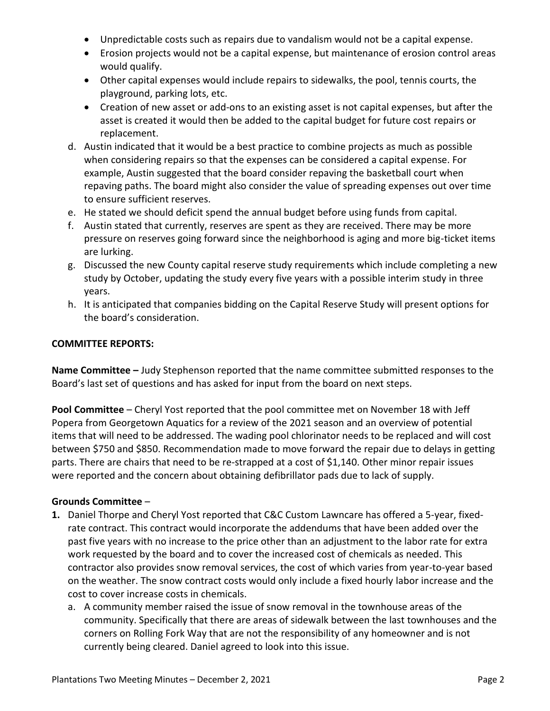- Unpredictable costs such as repairs due to vandalism would not be a capital expense.
- Erosion projects would not be a capital expense, but maintenance of erosion control areas would qualify.
- Other capital expenses would include repairs to sidewalks, the pool, tennis courts, the playground, parking lots, etc.
- Creation of new asset or add-ons to an existing asset is not capital expenses, but after the asset is created it would then be added to the capital budget for future cost repairs or replacement.
- d. Austin indicated that it would be a best practice to combine projects as much as possible when considering repairs so that the expenses can be considered a capital expense. For example, Austin suggested that the board consider repaving the basketball court when repaving paths. The board might also consider the value of spreading expenses out over time to ensure sufficient reserves.
- e. He stated we should deficit spend the annual budget before using funds from capital.
- f. Austin stated that currently, reserves are spent as they are received. There may be more pressure on reserves going forward since the neighborhood is aging and more big-ticket items are lurking.
- g. Discussed the new County capital reserve study requirements which include completing a new study by October, updating the study every five years with a possible interim study in three years.
- h. It is anticipated that companies bidding on the Capital Reserve Study will present options for the board's consideration.

#### **COMMITTEE REPORTS:**

**Name Committee –** Judy Stephenson reported that the name committee submitted responses to the Board's last set of questions and has asked for input from the board on next steps.

**Pool Committee** – Cheryl Yost reported that the pool committee met on November 18 with Jeff Popera from Georgetown Aquatics for a review of the 2021 season and an overview of potential items that will need to be addressed. The wading pool chlorinator needs to be replaced and will cost between \$750 and \$850. Recommendation made to move forward the repair due to delays in getting parts. There are chairs that need to be re-strapped at a cost of \$1,140. Other minor repair issues were reported and the concern about obtaining defibrillator pads due to lack of supply.

## **Grounds Committee** –

- **1.** Daniel Thorpe and Cheryl Yost reported that C&C Custom Lawncare has offered a 5-year, fixedrate contract. This contract would incorporate the addendums that have been added over the past five years with no increase to the price other than an adjustment to the labor rate for extra work requested by the board and to cover the increased cost of chemicals as needed. This contractor also provides snow removal services, the cost of which varies from year-to-year based on the weather. The snow contract costs would only include a fixed hourly labor increase and the cost to cover increase costs in chemicals.
	- a. A community member raised the issue of snow removal in the townhouse areas of the community. Specifically that there are areas of sidewalk between the last townhouses and the corners on Rolling Fork Way that are not the responsibility of any homeowner and is not currently being cleared. Daniel agreed to look into this issue.